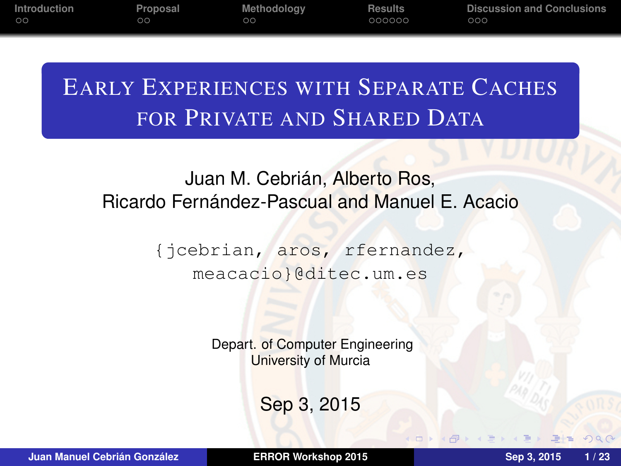**[Introduction](#page-2-0) [Proposal](#page-8-0) [Methodology](#page-11-0) [Results](#page-14-0) [Discussion and Conclusions](#page-22-0)**

# EARLY EXPERIENCES WITH SEPARATE CACHES FOR PRIVATE AND SHARED DATA

## Juan M. Cebrián, Alberto Ros, Ricardo Fernández-Pascual and Manuel E. Acacio

{jcebrian, aros, rfernandez, meacacio}@ditec.um.es

> Depart. of Computer Engineering University of Murcia

> > Sep 3, 2015

**Juan Manuel Cebrián González [ERROR Workshop 2015](#page-25-0) Sep 3, 2015 1 / 23**

<span id="page-0-0"></span>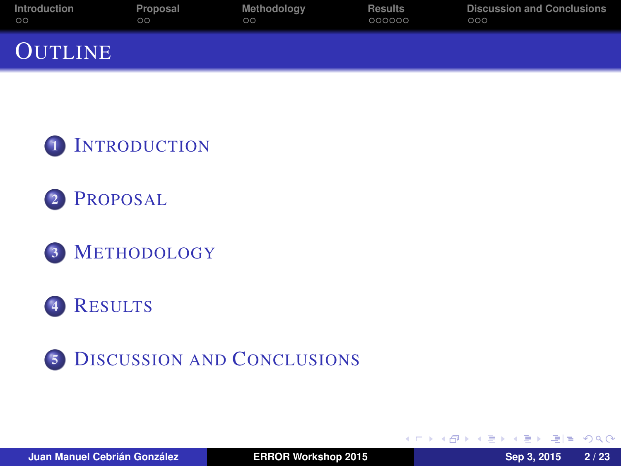| Introduction   | Proposal | Methodoloav | <b>Results</b> | <b>Discussion and Conclusions</b> |
|----------------|----------|-------------|----------------|-----------------------------------|
| $\circ$        | ററ       | ററ          | 000000         | 000                               |
| <b>OUTLINE</b> |          |             |                |                                   |







## <sup>4</sup> R[ESULTS](#page-14-0)



 $E$  narry

ミャマミ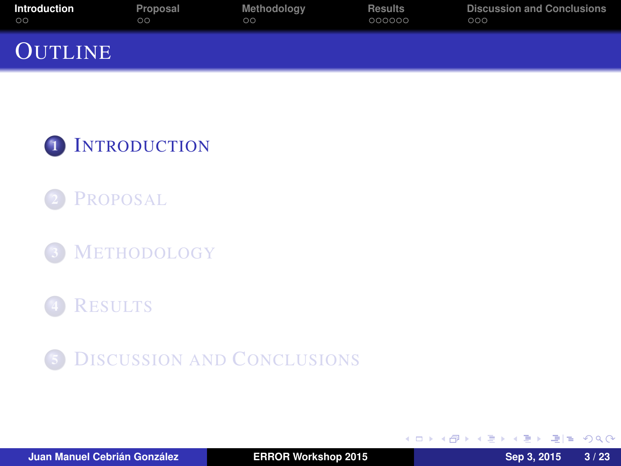| Introduction   | Proposal | Methodology | <b>Results</b> | <b>Discussion and Conclusions</b> |
|----------------|----------|-------------|----------------|-----------------------------------|
| $\circ$        | ററ       | ററ          | 000000         | 000                               |
| <b>OUTLINE</b> |          |             |                |                                   |





<sup>3</sup> M[ETHODOLOGY](#page-11-0)

## **R[ESULTS](#page-14-0)**



4 0 8

<span id="page-2-0"></span> $AB + AB + AB + B = AQ$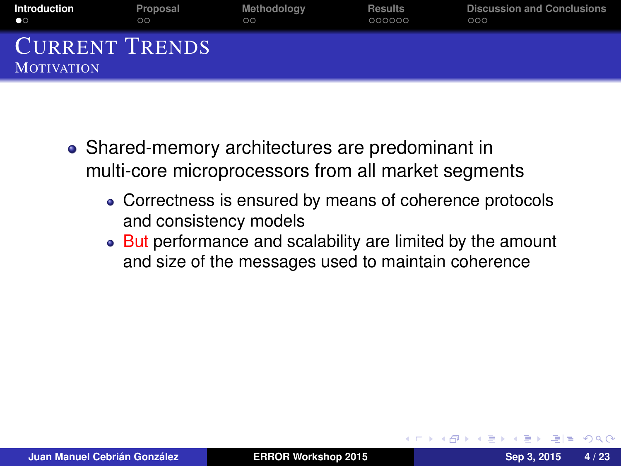| Introduction                               | Proposal | Methodology | <b>Results</b> | <b>Discussion and Conclusions</b> |
|--------------------------------------------|----------|-------------|----------------|-----------------------------------|
| $\bullet$                                  | 00       | ററ          | 000000         | 000                               |
| <b>CURRENT TRENDS</b><br><b>MOTIVATION</b> |          |             |                |                                   |

- Shared-memory architectures are predominant in multi-core microprocessors from all market segments
	- Correctness is ensured by means of coherence protocols and consistency models
	- But performance and scalability are limited by the amount and size of the messages used to maintain coherence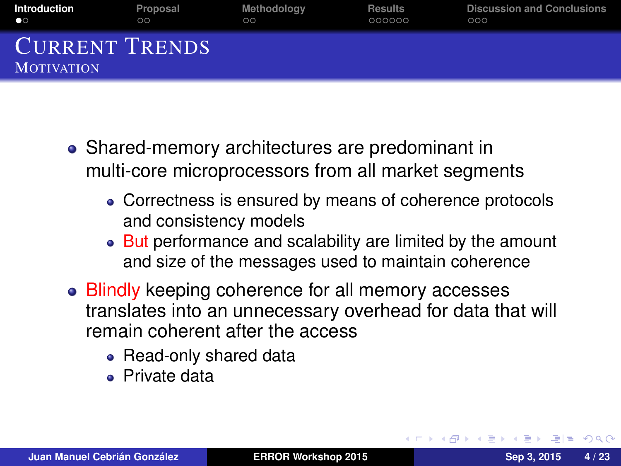| Introduction                               | Proposal | Methodology | <b>Results</b> | <b>Discussion and Conclusions</b> |
|--------------------------------------------|----------|-------------|----------------|-----------------------------------|
| $\bullet$                                  | 00       | ററ          | 000000         | 000                               |
| <b>CURRENT TRENDS</b><br><b>MOTIVATION</b> |          |             |                |                                   |

- Shared-memory architectures are predominant in multi-core microprocessors from all market segments
	- Correctness is ensured by means of coherence protocols and consistency models
	- But performance and scalability are limited by the amount and size of the messages used to maintain coherence
- Blindly keeping coherence for all memory accesses translates into an unnecessary overhead for data that will remain coherent after the access
	- Read-only shared data
	- Private data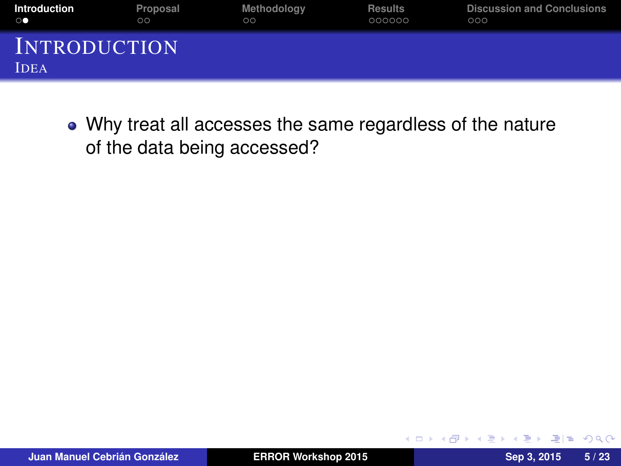| Introduction                       | Proposal | Methodoloav | <b>Results</b> | <b>Discussion and Conclusions</b> |
|------------------------------------|----------|-------------|----------------|-----------------------------------|
| $\circ\bullet$                     | $\circ$  | $\circ$     | 000000         | 000                               |
| <b>INTRODUCTION</b><br><b>IDEA</b> |          |             |                |                                   |

Why treat all accesses the same regardless of the nature of the data being accessed?

4 0 8

 $QQ$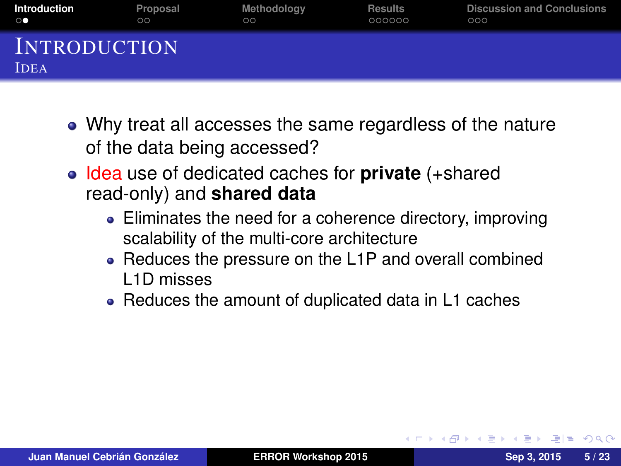| <b>Introduction</b>                | Proposal | Methodology | <b>Results</b> | <b>Discussion and Conclusions</b> |
|------------------------------------|----------|-------------|----------------|-----------------------------------|
| $\circ\bullet$                     | $\circ$  | $\circ$     | 000000         | 000                               |
| <b>INTRODUCTION</b><br><b>IDEA</b> |          |             |                |                                   |

- Why treat all accesses the same regardless of the nature of the data being accessed?
- Idea use of dedicated caches for **private** (+shared read-only) and **shared data**
	- Eliminates the need for a coherence directory, improving scalability of the multi-core architecture
	- Reduces the pressure on the L1P and overall combined L1D misses
	- Reduces the amount of duplicated data in L1 caches

 $= 1 - \Omega$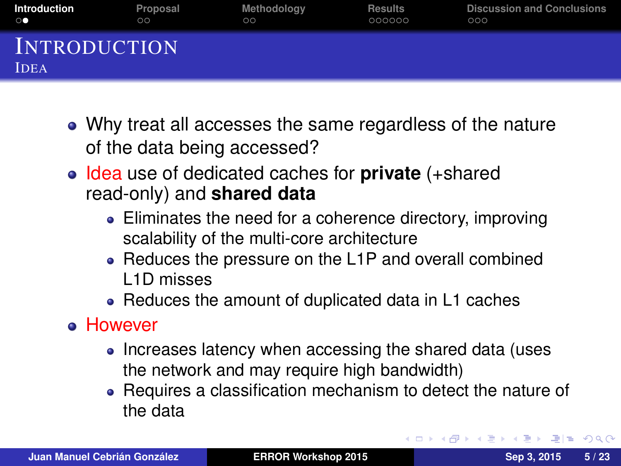| <b>Introduction</b>                | Proposal | Methodology | <b>Results</b> | <b>Discussion and Conclusions</b> |
|------------------------------------|----------|-------------|----------------|-----------------------------------|
| $\circ\bullet$                     | $\circ$  | $\circ$     | 000000         | 000                               |
| <b>INTRODUCTION</b><br><b>IDEA</b> |          |             |                |                                   |

- Why treat all accesses the same regardless of the nature of the data being accessed?
- Idea use of dedicated caches for **private** (+shared read-only) and **shared data**
	- Eliminates the need for a coherence directory, improving scalability of the multi-core architecture
	- Reduces the pressure on the L1P and overall combined L1D misses
	- Reduces the amount of duplicated data in L1 caches
- However
	- Increases latency when accessing the shared data (uses the network and may require high bandwidth)
	- Requires a classification mechanism to detect the nature of the data

<span id="page-7-0"></span>K 何 ▶ K ヨ ▶ K ヨ ▶ ヨ ヨ ヨ の Q (^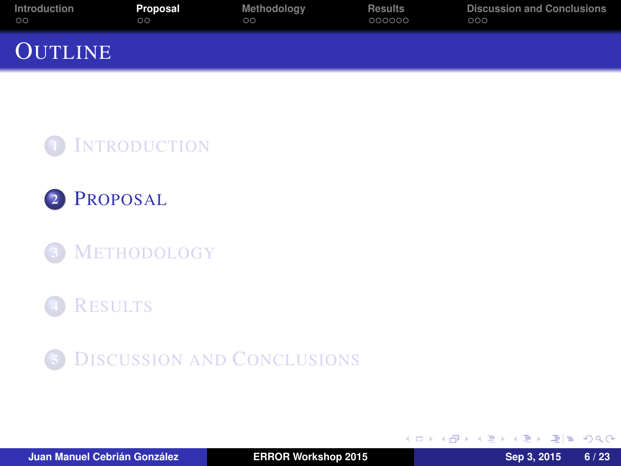| Introduction   | Proposal | Methodoloav | <b>Results</b> | <b>Discussion and Conclusions</b> |
|----------------|----------|-------------|----------------|-----------------------------------|
| $\circ$        | ററ       | ററ          | 000000         | 000                               |
| <b>OUTLINE</b> |          |             |                |                                   |





<sup>3</sup> M[ETHODOLOGY](#page-11-0)

## **R[ESULTS](#page-14-0)**



4 0 8

<span id="page-8-0"></span> $AB + AB + AB + AB + ABA$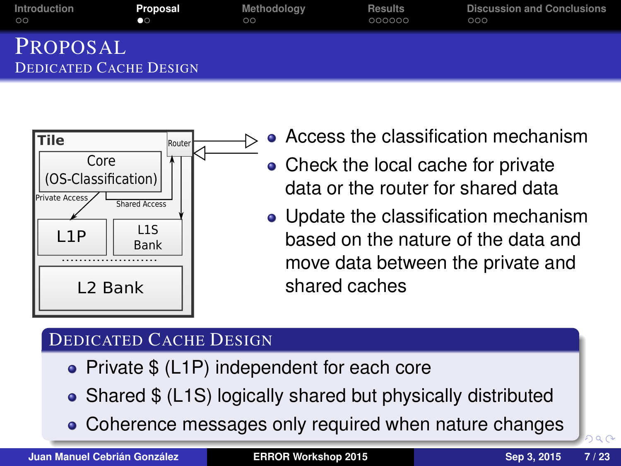| Introduction                       | Proposal  | Methodoloav | <b>Results</b> | <b>Discussion and Conclusions</b> |
|------------------------------------|-----------|-------------|----------------|-----------------------------------|
| $\circ$                            | $\bullet$ | ററ          | 000000         | 000                               |
| PROPOSAL<br>DEDICATED CACHE DESIGN |           |             |                |                                   |



- **Access the classification mechanism**
- Check the local cache for private data or the router for shared data
- Update the classification mechanism based on the nature of the data and move data between the private and shared caches

#### DEDICATED CACHE DESIGN

- Private \$ (L1P) independent for each core
- Shared \$ (L1S) logically shared but physically distributed
- Coherence messages only required w[he](#page-8-0)[n](#page-10-0) [n](#page-8-0)[at](#page-9-0)[u](#page-10-0)[r](#page-8-0)[e c](#page-9-0)[h](#page-10-0)[a](#page-8-0)[n](#page-10-0)[g](#page-11-0)[e](#page-0-0)[s](#page-25-0)

<span id="page-9-0"></span>റെ ര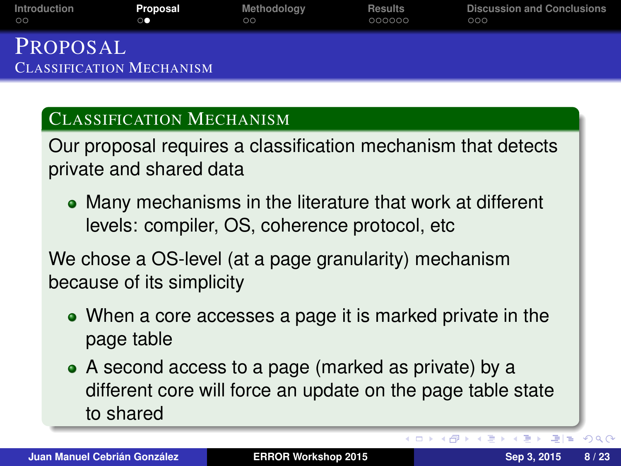| Introduction                                | Proposal | Methodology | <b>Results</b> | <b>Discussion and Conclusions</b> |
|---------------------------------------------|----------|-------------|----------------|-----------------------------------|
| ററ                                          | œ        | ററ          | 000000         | റററ                               |
| PROPOSAL<br><b>CLASSIFICATION MECHANISM</b> |          |             |                |                                   |

#### CLASSIFICATION MECHANISM

Our proposal requires a classification mechanism that detects private and shared data

Many mechanisms in the literature that work at different levels: compiler, OS, coherence protocol, etc

We chose a OS-level (at a page granularity) mechanism because of its simplicity

- When a core accesses a page it is marked private in the page table
- A second access to a page (marked as private) by a different core will force an update on the page table state to shared

<span id="page-10-0"></span>**KALLEY (E) BE MAN**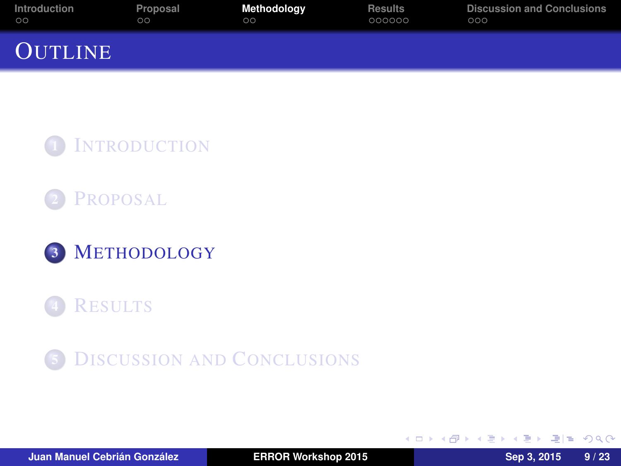| Introduction   | Proposal | Methodology | <b>Results</b> | <b>Discussion and Conclusions</b> |
|----------------|----------|-------------|----------------|-----------------------------------|
| $\circ$        | ററ       | ററ          | 000000         | 000                               |
| <b>OUTLINE</b> |          |             |                |                                   |







## **R[ESULTS](#page-14-0)**



4 0 8

同→

 $\mathcal{A} \oplus \mathcal{B} \rightarrow \mathcal{A} \oplus \mathcal{B}$ 

<span id="page-11-0"></span> $E|E \cap Q$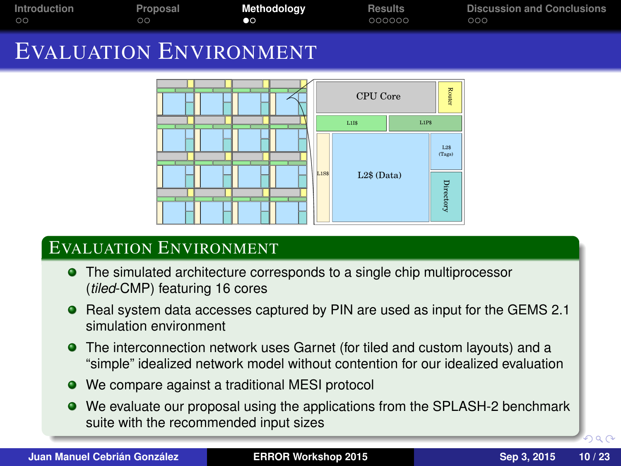| Introduction<br>$\circ$                                                                                    | Proposal<br>$\circ$ | Methodology<br>$\bullet$ | <b>Results</b><br>000000                                                     | <b>Discussion and Conclusions</b><br>000 |  |
|------------------------------------------------------------------------------------------------------------|---------------------|--------------------------|------------------------------------------------------------------------------|------------------------------------------|--|
| <b>EVALUATION ENVIRONMENT</b>                                                                              |                     |                          |                                                                              |                                          |  |
|                                                                                                            |                     | $L1I$ \$<br>L1SS         | Router<br>CPU Core<br>L1PS<br>$L2$ \$<br>(Tags)<br>$L2$$ (Data)<br>Directory |                                          |  |
| <b>EVALUATION ENVIRONMENT</b>                                                                              |                     |                          |                                                                              |                                          |  |
| • The simulated architecture corresponds to a single chip multiprocessor<br>(tiled-CMP) featuring 16 cores |                     |                          |                                                                              |                                          |  |

- Real system data accesses captured by PIN are used as input for the GEMS 2.1 simulation environment
- The interconnection network uses Garnet (for tiled and custom layouts) and a "simple" idealized network model without contention for our idealized evaluation
- We compare against a traditional MESI protocol
- We evaluate our proposal using the applications from the SPLASH-2 benchmark suite with the recommended input sizes

 $299$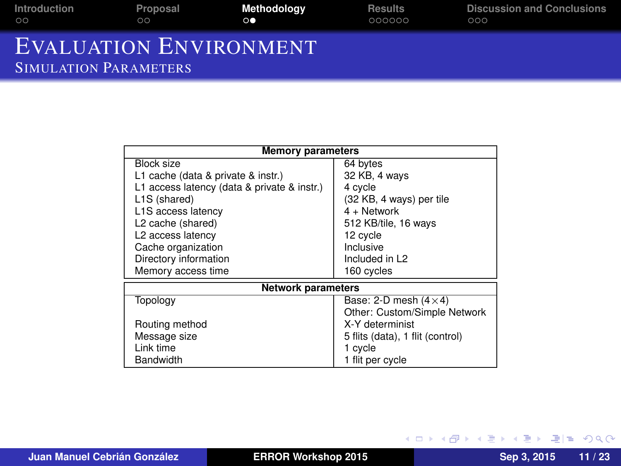| Introduction                                                  | Proposal | Methodoloav | Results | <b>Discussion and Conclusions</b> |
|---------------------------------------------------------------|----------|-------------|---------|-----------------------------------|
| $\circ$                                                       | ററ       | $\circ$     | 000000  | 000                               |
| <b>EVALUATION ENVIRONMENT</b><br><b>SIMULATION PARAMETERS</b> |          |             |         |                                   |

| <b>Memory parameters</b>                    |                                  |  |  |
|---------------------------------------------|----------------------------------|--|--|
| Block size                                  | 64 bytes                         |  |  |
| L1 cache (data & private & instr.)          | 32 KB, 4 ways                    |  |  |
| L1 access latency (data & private & instr.) | 4 cycle                          |  |  |
| L1S (shared)                                | (32 KB, 4 ways) per tile         |  |  |
| L1S access latency                          | $4 +$ Network                    |  |  |
| L2 cache (shared)                           | 512 KB/tile, 16 ways             |  |  |
| L2 access latency                           | 12 cycle                         |  |  |
| Cache organization                          | Inclusive                        |  |  |
| Directory information                       | Included in L2                   |  |  |
| Memory access time                          | 160 cycles                       |  |  |
| <b>Network parameters</b>                   |                                  |  |  |
| Topology                                    | Base: 2-D mesh $(4 \times 4)$    |  |  |
|                                             | Other: Custom/Simple Network     |  |  |
| Routing method                              | X-Y determinist                  |  |  |
| Message size                                | 5 flits (data), 1 flit (control) |  |  |
| Link time                                   | 1 cycle                          |  |  |
| Bandwidth                                   | 1 flit per cycle                 |  |  |

(ロ) (個) (目) (目) (目) 目目 のQ (V)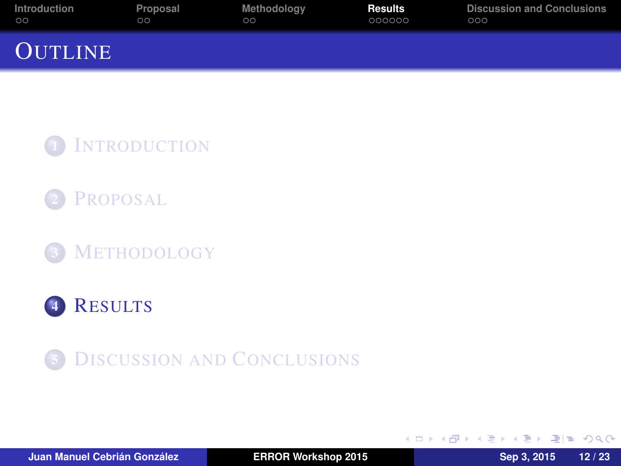| Introduction   | Proposal | Methodoloav | Results | <b>Discussion and Conclusions</b> |
|----------------|----------|-------------|---------|-----------------------------------|
| $\circ$        | ററ       | ററ          | 000000  | 000                               |
| <b>OUTLINE</b> |          |             |         |                                   |

1 I[NTRODUCTION](#page-2-0)



<sup>3</sup> M[ETHODOLOGY](#page-11-0)



**5** D[ISCUSSION AND](#page-22-0) CONCLUSIONS

4 0 8

<span id="page-14-0"></span>K 何 ▶ K ヨ ▶ K ヨ ▶ ヨ ヨ ヨ の Q (^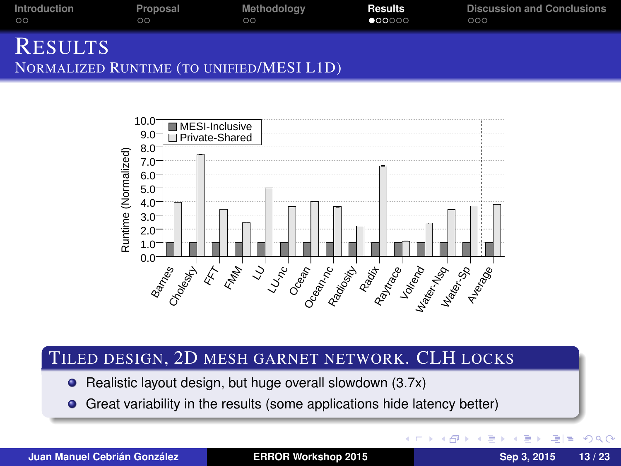| Introduction   | Proposal | Methodoloav | <b>Results</b>  | <b>Discussion and Conclusions</b> |
|----------------|----------|-------------|-----------------|-----------------------------------|
| $\circ$        | ററ       | ററ          | $\bullet$ 00000 | 000                               |
| <b>RESULTS</b> |          |             |                 |                                   |



#### TILED DESIGN, 2D MESH GARNET NETWORK. CLH LOCKS

● Realistic layout design, but huge overall slowdown (3.7x)

NORMALIZED RUNTIME (TO UNIFIED/MESI L1D)

Great variability in the results (some applications hide latency better)  $\bullet$ 

**Juan Manuel Cebrián González [ERROR Workshop 2015](#page-0-0) Sep 3, 2015 13 / 23**

理性

∍

 $\Omega$ 

4 同 ト 4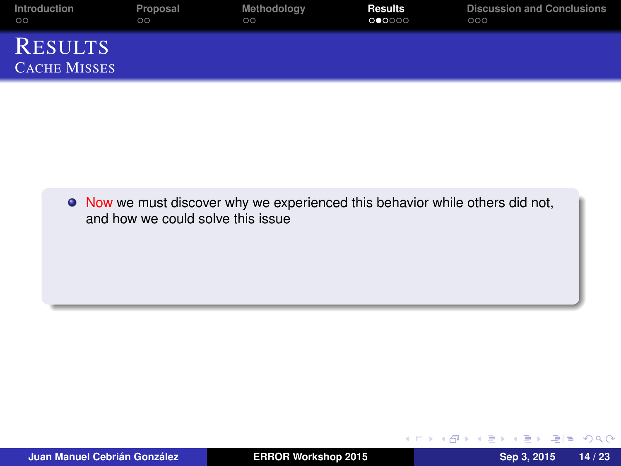| Introduction                          | Proposal | Methodology | <b>Results</b> | <b>Discussion and Conclusions</b> |
|---------------------------------------|----------|-------------|----------------|-----------------------------------|
| $\circ$                               | $\circ$  | $\circ$     | 000000         | 000                               |
| <b>RESULTS</b><br><b>CACHE MISSES</b> |          |             |                |                                   |

 $\bullet$  Now we must discover why we experienced this behavior while others did not, and how we could solve this issue

KOD KAR KED KED EE MAA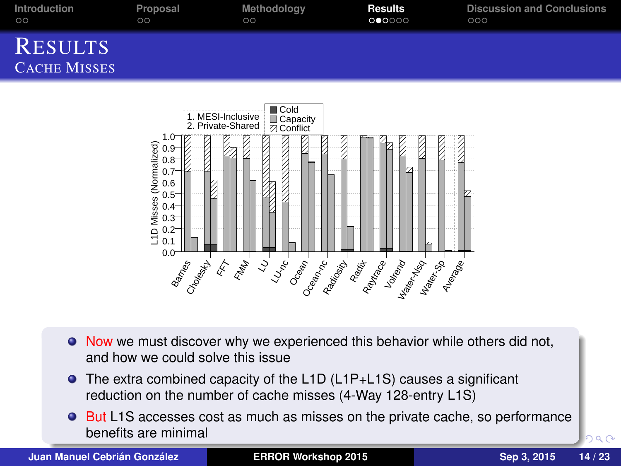| Introduction                          | Proposal | Methodoloav | <b>Results</b> | <b>Discussion and Conclusions</b> |
|---------------------------------------|----------|-------------|----------------|-----------------------------------|
| $\circ$                               | $\circ$  | $\circ$     | 000000         | 000                               |
| <b>RESULTS</b><br><b>CACHE MISSES</b> |          |             |                |                                   |



- $\bullet$  Now we must discover why we experienced this behavior while others did not, and how we could solve this issue
- The extra combined capacity of the L1D (L1P+L1S) causes a significant reduction on the number of cache misses (4-Way 128-entry L1S)
- **But L1S accesses cost as much as misses on the private cache, so performance** benefits are minimal

**Juan Manuel Cebrián González [ERROR Workshop 2015](#page-0-0) Sep 3, 2015 14 / 23**

 $299$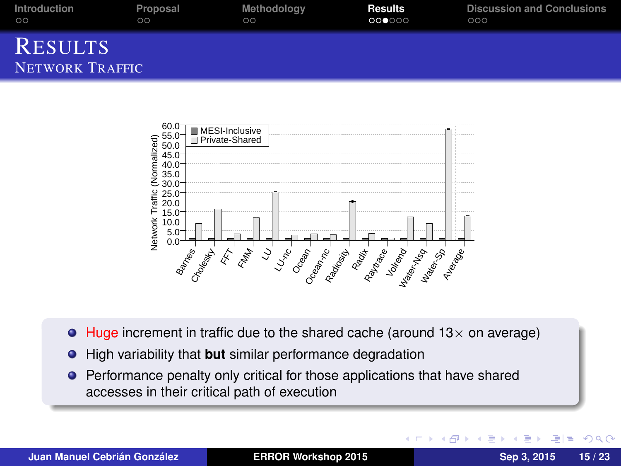| Introduction                      | Proposal | Methodology | Results | <b>Discussion and Conclusions</b> |
|-----------------------------------|----------|-------------|---------|-----------------------------------|
| $\circ$                           | ററ       | ററ          | 000000  | 000                               |
| <b>RESULTS</b><br>NETWORK TRAFFIC |          |             |         |                                   |



- $\bullet$  Huge increment in traffic due to the shared cache (around 13 $\times$  on average)
- High variability that **but** similar performance degradation
- **•** Performance penalty only critical for those applications that have shared accesses in their critical path of execution

4 0 8  $\leftarrow$   $\leftarrow$   $E|E \cap Q$ 

ミャマミ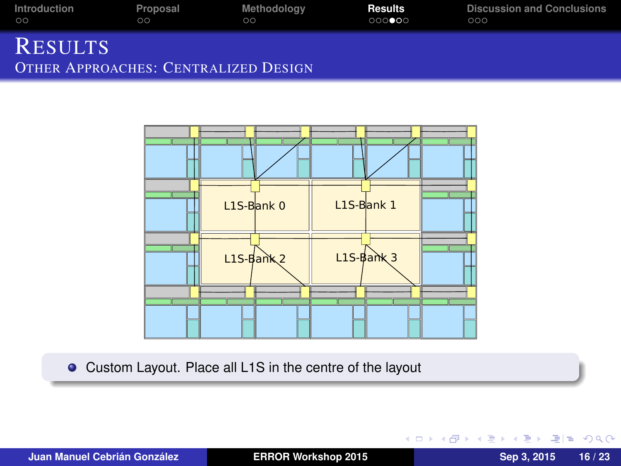| Introduction                                                  | Proposal | Methodoloav | <b>Results</b> | <b>Discussion and Conclusions</b> |
|---------------------------------------------------------------|----------|-------------|----------------|-----------------------------------|
| $\circ$                                                       | 00       | ററ          | 000000         | 000                               |
| <b>RESULTS</b><br><b>OTHER APPROACHES: CENTRALIZED DESIGN</b> |          |             |                |                                   |



Custom Layout. Place all L1S in the centre of the layout

 $E|E \cap Q$ 

 $\left\{ \begin{array}{ccc} 1 & 0 & 0 \\ 0 & 1 & 0 \end{array} \right.$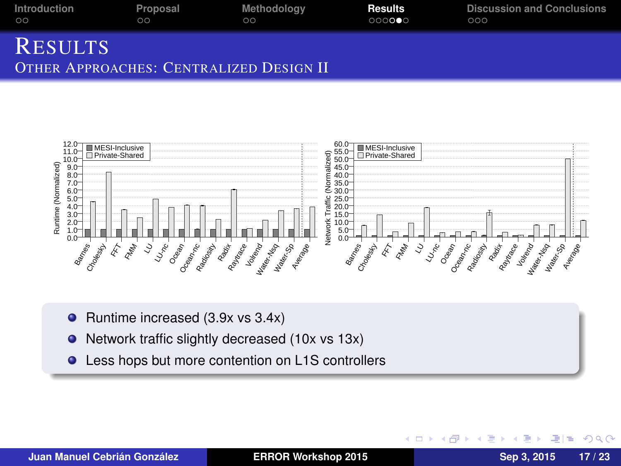| Introduction   | Proposal | Methodology                             | Results | <b>Discussion and Conclusions</b> |
|----------------|----------|-----------------------------------------|---------|-----------------------------------|
| ററ             | ററ       | ററ                                      | 000000  | റററ                               |
| <b>RESULTS</b> |          | OTHER APPROACHES: CENTRALIZED DESIGN II |         |                                   |



- $\bullet$  Runtime increased (3.9x vs 3.4x)
- Network traffic slightly decreased (10x vs 13x)  $\bullet$
- Less hops but more contention on L1S controllers

4 0 8  $\leftarrow$   $\leftarrow$  $\mathbf{p}$ Э×  $\mathcal{A}$ Ε l tel  $QQQ$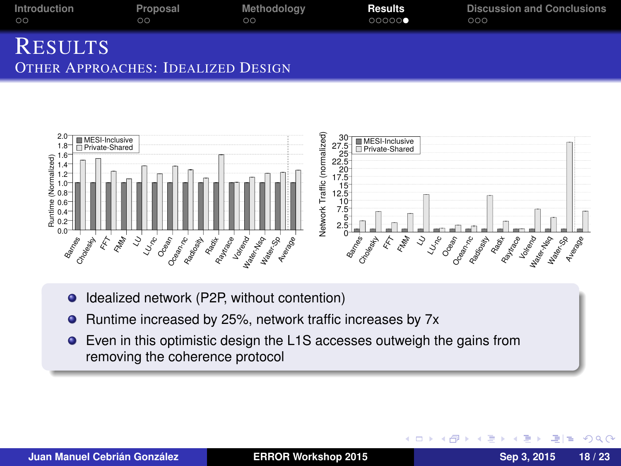| Introduction   | Proposal | Methodology | <b>Results</b> | <b>Discussion and Conclusions</b> |
|----------------|----------|-------------|----------------|-----------------------------------|
| ററ             | ററ       | ററ          | 00000          | 000                               |
| <b>RESULTS</b> |          |             |                |                                   |





- $\bullet$ Idealized network (P2P, without contention)
- Runtime increased by 25%, network traffic increases by 7x  $\bullet$
- Even in this optimistic design the L1S accesses outweigh the gains from removing the coherence protocol

4 0 8 ×. 石 l =  $\Omega$ 

Ε

∋⇒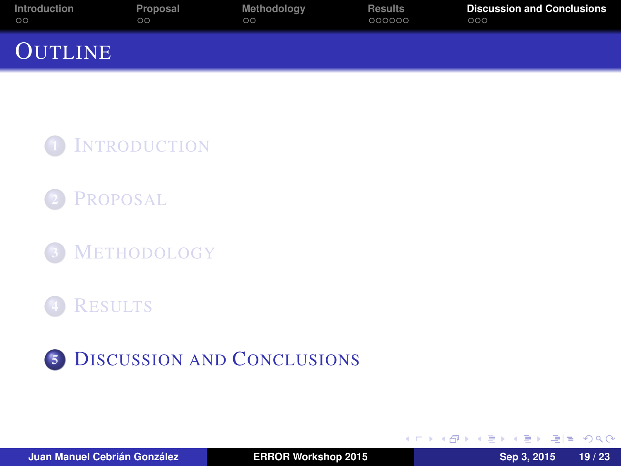| Introduction   | Proposal | Methodology | <b>Results</b> | <b>Discussion and Conclusions</b> |
|----------------|----------|-------------|----------------|-----------------------------------|
| $\circ$        | ററ       | ററ          | 000000         | 000                               |
| <b>OUTLINE</b> |          |             |                |                                   |

1 I[NTRODUCTION](#page-2-0)

**P[ROPOSAL](#page-8-0)** 

<sup>3</sup> M[ETHODOLOGY](#page-11-0)

**R[ESULTS](#page-14-0)** 



4 0 8

<span id="page-22-0"></span>AD A B D A B D B H D A G A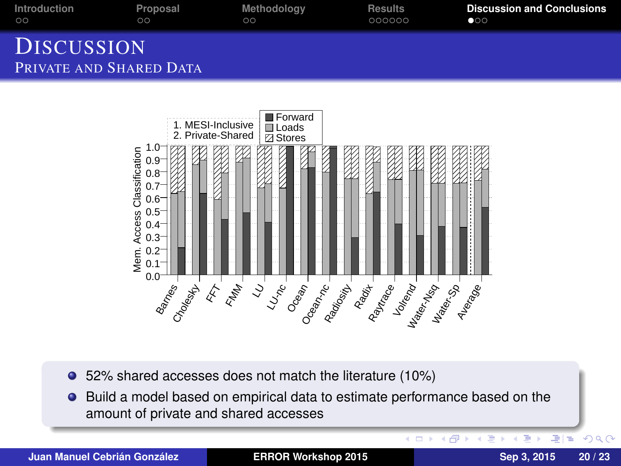| Introduction                                 | Proposal | Methodoloav | <b>Results</b> | <b>Discussion and Conclusions</b> |
|----------------------------------------------|----------|-------------|----------------|-----------------------------------|
| ററ                                           | ററ       | ററ          | 000000         | $\bullet$                         |
| <b>DISCUSSION</b><br>PRIVATE AND SHARED DATA |          |             |                |                                   |



- 52% shared accesses does not match the literature (10%)
- Build a model based on empirical data to estimate performance based on the  $\bullet$ amount of private and shared accesses

**Juan Manuel Cebrián González [ERROR Workshop 2015](#page-0-0) Sep 3, 2015 20 / 23**

K ロ > K 個 > K ミ > K ミ > ミ = の Q Q Q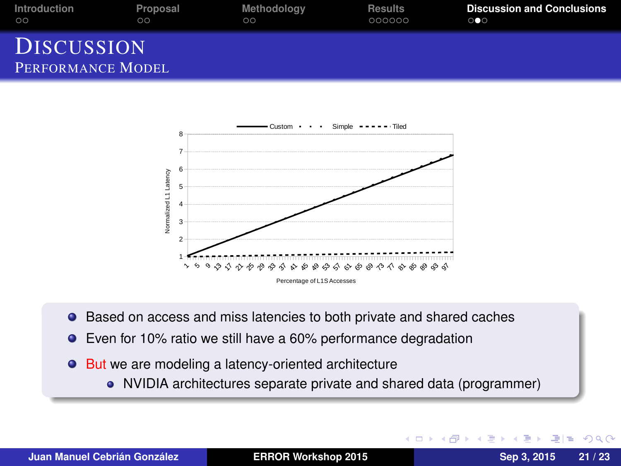| Introduction                           | Proposal | Methodology | <b>Results</b> | <b>Discussion and Conclusions</b> |
|----------------------------------------|----------|-------------|----------------|-----------------------------------|
| ററ                                     | ററ       | ററ          | 000000         | $\circ \bullet \circ$             |
| <b>DISCUSSION</b><br>PERFORMANCE MODEL |          |             |                |                                   |



- **•** Based on access and miss latencies to both private and shared caches
- **E** Even for 10% ratio we still have a 60% performance degradation
- But we are modeling a latency-oriented architecture
	- NVIDIA architectures separate private and shared data (programmer)

KED KAR KERKER EE KORA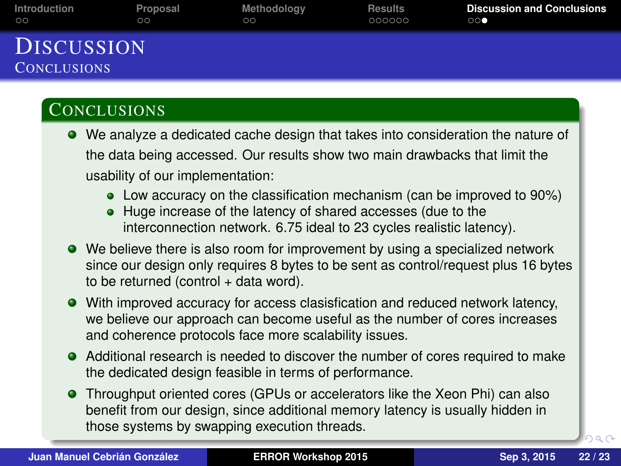| Introduction                            | Proposal | Methodoloav | <b>Results</b> | <b>Discussion and Conclusions</b> |
|-----------------------------------------|----------|-------------|----------------|-----------------------------------|
| $\circ$                                 | $\circ$  | ററ          | 000000         | $\bigcirc$ $\bigcirc$ $\bullet$   |
| <b>DISCUSSION</b><br><b>CONCLUSIONS</b> |          |             |                |                                   |

#### **CONCLUSIONS**

- We analyze a dedicated cache design that takes into consideration the nature of the data being accessed. Our results show two main drawbacks that limit the usability of our implementation:
	- Low accuracy on the classification mechanism (can be improved to 90%)
	- Huge increase of the latency of shared accesses (due to the interconnection network. 6.75 ideal to 23 cycles realistic latency).
- We believe there is also room for improvement by using a specialized network since our design only requires 8 bytes to be sent as control/request plus 16 bytes to be returned (control  $+$  data word).
- With improved accuracy for access clasisfication and reduced network latency, we believe our approach can become useful as the number of cores increases and coherence protocols face more scalability issues.
- Additional research is needed to discover the number of cores required to make the dedicated design feasible in terms of performance.
- Throughput oriented cores (GPUs or accelerators like the Xeon Phi) can also benefit from our design, since additional memory latency is usually hidden in those systems by swapping execution threads.

<span id="page-25-0"></span> $2990$